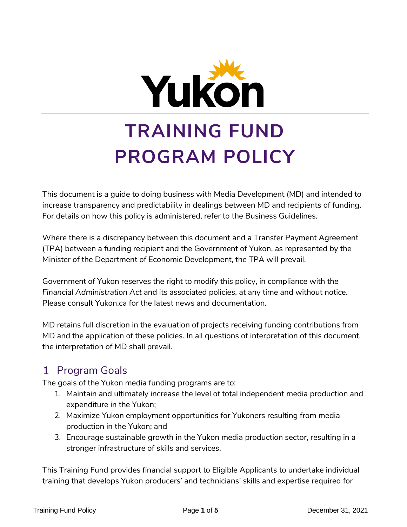

# **TRAINING FUND PROGRAM POLICY**

This document is a guide to doing business with Media Development (MD) and intended to increase transparency and predictability in dealings between MD and recipients of funding. For details on how this policy is administered, refer to the Business Guidelines.

Where there is a discrepancy between this document and a Transfer Payment Agreement (TPA) between a funding recipient and the Government of Yukon, as represented by the Minister of the Department of Economic Development, the TPA will prevail.

Government of Yukon reserves the right to modify this policy, in compliance with the *Financial Administration Act* and its associated policies, at any time and without notice. Please consult Yukon.ca for the latest news and documentation.

MD retains full discretion in the evaluation of projects receiving funding contributions from MD and the application of these policies. In all questions of interpretation of this document, the interpretation of MD shall prevail.

# 1 Program Goals

The goals of the Yukon media funding programs are to:

- 1. Maintain and ultimately increase the level of total independent media production and expenditure in the Yukon;
- 2. Maximize Yukon employment opportunities for Yukoners resulting from media production in the Yukon; and
- 3. Encourage sustainable growth in the Yukon media production sector, resulting in a stronger infrastructure of skills and services.

This Training Fund provides financial support to Eligible Applicants to undertake individual training that develops Yukon producers' and technicians' skills and expertise required for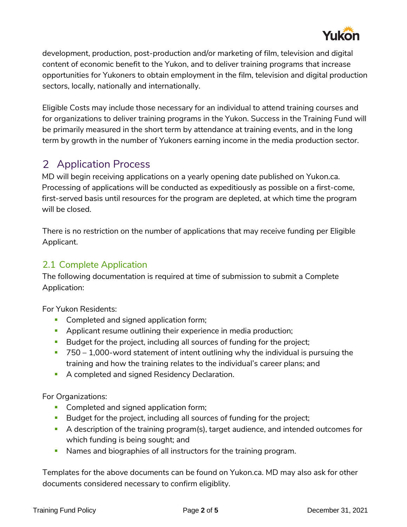

development, production, post-production and/or marketing of film, television and digital content of economic benefit to the Yukon, and to deliver training programs that increase opportunities for Yukoners to obtain employment in the film, television and digital production sectors, locally, nationally and internationally.

Eligible Costs may include those necessary for an individual to attend training courses and for organizations to deliver training programs in the Yukon. Success in the Training Fund will be primarily measured in the short term by attendance at training events, and in the long term by growth in the number of Yukoners earning income in the media production sector.

## 2 Application Process

MD will begin receiving applications on a yearly opening date published on Yukon.ca. Processing of applications will be conducted as expeditiously as possible on a first-come, first-served basis until resources for the program are depleted, at which time the program will be closed.

There is no restriction on the number of applications that may receive funding per Eligible Applicant.

## 2.1 Complete Application

The following documentation is required at time of submission to submit a Complete Application:

For Yukon Residents:

- **Completed and signed application form;**
- **Applicant resume outlining their experience in media production;**
- Budget for the project, including all sources of funding for the project;
- $\overline{750} 1,000$ -word statement of intent outlining why the individual is pursuing the training and how the training relates to the individual's career plans; and
- A completed and signed Residency Declaration.

For Organizations:

- **Completed and signed application form;**
- Budget for the project, including all sources of funding for the project;
- A description of the training program(s), target audience, and intended outcomes for which funding is being sought; and
- Names and biographies of all instructors for the training program.

Templates for the above documents can be found on Yukon.ca. MD may also ask for other documents considered necessary to confirm eligiblity.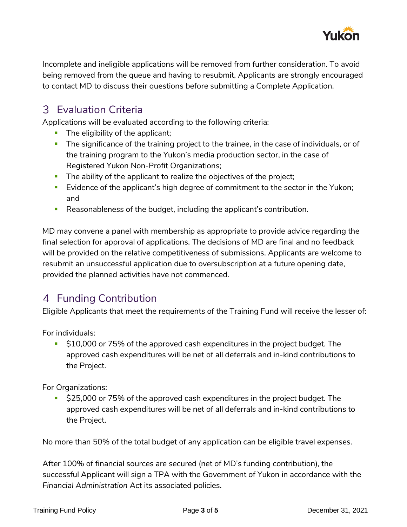

Incomplete and ineligible applications will be removed from further consideration. To avoid being removed from the queue and having to resubmit, Applicants are strongly encouraged to contact MD to discuss their questions before submitting a Complete Application.

# Evaluation Criteria

Applications will be evaluated according to the following criteria:

- **The eligibility of the applicant;**
- **The significance of the training project to the trainee, in the case of individuals, or of** the training program to the Yukon's media production sector, in the case of Registered Yukon Non-Profit Organizations;
- The ability of the applicant to realize the objectives of the project;
- **Evidence of the applicant's high degree of commitment to the sector in the Yukon;** and
- Reasonableness of the budget, including the applicant's contribution.

MD may convene a panel with membership as appropriate to provide advice regarding the final selection for approval of applications. The decisions of MD are final and no feedback will be provided on the relative competitiveness of submissions. Applicants are welcome to resubmit an unsuccessful application due to oversubscription at a future opening date, provided the planned activities have not commenced.

# 4 Funding Contribution

Eligible Applicants that meet the requirements of the Training Fund will receive the lesser of:

For individuals:

**510,000 or 75% of the approved cash expenditures in the project budget. The** approved cash expenditures will be net of all deferrals and in-kind contributions to the Project.

For Organizations:

**525,000 or 75% of the approved cash expenditures in the project budget. The** approved cash expenditures will be net of all deferrals and in-kind contributions to the Project.

No more than 50% of the total budget of any application can be eligible travel expenses.

After 100% of financial sources are secured (net of MD's funding contribution), the successful Applicant will sign a TPA with the Government of Yukon in accordance with the *Financial Administration Act* its associated policies.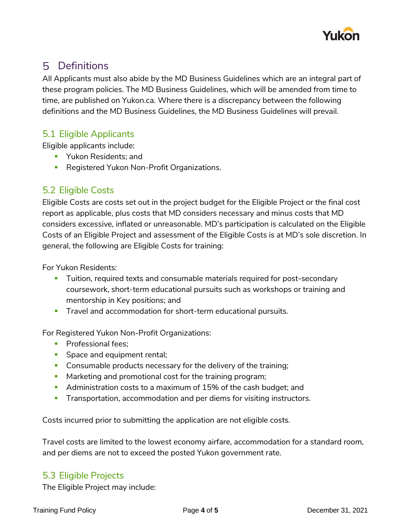

## Definitions

All Applicants must also abide by the MD Business Guidelines which are an integral part of these program policies. The MD Business Guidelines, which will be amended from time to time, are published on Yukon.ca. Where there is a discrepancy between the following definitions and the MD Business Guidelines, the MD Business Guidelines will prevail.

## 5.1 Eligible Applicants

Eligible applicants include:

- **Theory Allents** Pukon Residents; and
- **Registered Yukon Non-Profit Organizations.**

### 5.2 Eligible Costs

Eligible Costs are costs set out in the project budget for the Eligible Project or the final cost report as applicable, plus costs that MD considers necessary and minus costs that MD considers excessive, inflated or unreasonable. MD's participation is calculated on the Eligible Costs of an Eligible Project and assessment of the Eligible Costs is at MD's sole discretion. In general, the following are Eligible Costs for training:

For Yukon Residents*:*

- Tuition, required texts and consumable materials required for post-secondary coursework, short-term educational pursuits such as workshops or training and mentorship in Key positions; and
- **Travel and accommodation for short-term educational pursuits.**

For Registered Yukon Non-Profit Organizations:

- **Professional fees;**
- **Space and equipment rental;**
- **Consumable products necessary for the delivery of the training;**
- **Marketing and promotional cost for the training program;**
- **Administration costs to a maximum of 15% of the cash budget; and**
- **Transportation, accommodation and per diems for visiting instructors.**

Costs incurred prior to submitting the application are not eligible costs.

Travel costs are limited to the lowest economy airfare, accommodation for a standard room, and per diems are not to exceed the posted Yukon government rate.

#### 5.3 Eligible Projects

The Eligible Project may include: